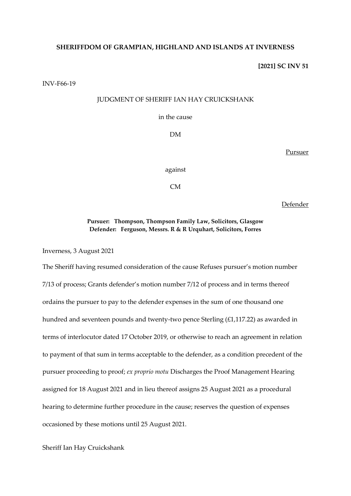### **SHERIFFDOM OF GRAMPIAN, HIGHLAND AND ISLANDS AT INVERNESS**

**[2021] SC INV 51**

INV-F66-19

## JUDGMENT OF SHERIFF IAN HAY CRUICKSHANK

in the cause

DM

Pursuer

against

CM

Defender

## **Pursuer: Thompson, Thompson Family Law, Solicitors, Glasgow Defender: Ferguson, Messrs. R & R Urquhart, Solicitors, Forres**

Inverness, 3 August 2021

The Sheriff having resumed consideration of the cause Refuses pursuer's motion number 7/13 of process; Grants defender's motion number 7/12 of process and in terms thereof ordains the pursuer to pay to the defender expenses in the sum of one thousand one hundred and seventeen pounds and twenty-two pence Sterling (£1,117.22) as awarded in terms of interlocutor dated 17 October 2019, or otherwise to reach an agreement in relation to payment of that sum in terms acceptable to the defender, as a condition precedent of the pursuer proceeding to proof; *ex proprio motu* Discharges the Proof Management Hearing assigned for 18 August 2021 and in lieu thereof assigns 25 August 2021 as a procedural hearing to determine further procedure in the cause; reserves the question of expenses occasioned by these motions until 25 August 2021.

### Sheriff Ian Hay Cruickshank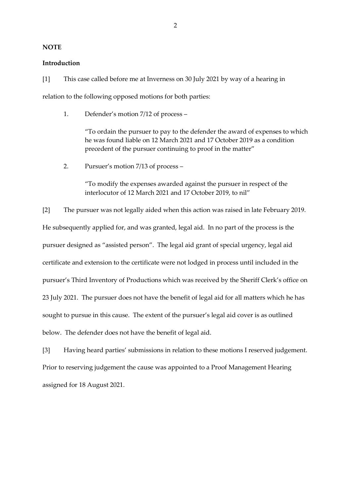#### **NOTE**

### **Introduction**

[1] This case called before me at Inverness on 30 July 2021 by way of a hearing in relation to the following opposed motions for both parties:

1. Defender's motion 7/12 of process –

"To ordain the pursuer to pay to the defender the award of expenses to which he was found liable on 12 March 2021 and 17 October 2019 as a condition precedent of the pursuer continuing to proof in the matter"

2. Pursuer's motion 7/13 of process –

"To modify the expenses awarded against the pursuer in respect of the interlocutor of 12 March 2021 and 17 October 2019, to nil"

[2] The pursuer was not legally aided when this action was raised in late February 2019. He subsequently applied for, and was granted, legal aid. In no part of the process is the pursuer designed as "assisted person". The legal aid grant of special urgency, legal aid certificate and extension to the certificate were not lodged in process until included in the pursuer's Third Inventory of Productions which was received by the Sheriff Clerk's office on 23 July 2021. The pursuer does not have the benefit of legal aid for all matters which he has sought to pursue in this cause. The extent of the pursuer's legal aid cover is as outlined below. The defender does not have the benefit of legal aid.

[3] Having heard parties' submissions in relation to these motions I reserved judgement. Prior to reserving judgement the cause was appointed to a Proof Management Hearing assigned for 18 August 2021.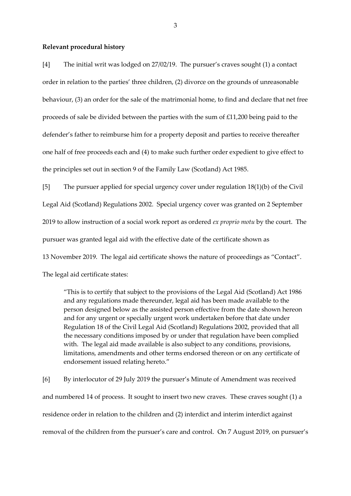#### **Relevant procedural history**

[4] The initial writ was lodged on 27/02/19. The pursuer's craves sought (1) a contact order in relation to the parties' three children, (2) divorce on the grounds of unreasonable behaviour, (3) an order for the sale of the matrimonial home, to find and declare that net free proceeds of sale be divided between the parties with the sum of £11,200 being paid to the defender's father to reimburse him for a property deposit and parties to receive thereafter one half of free proceeds each and (4) to make such further order expedient to give effect to the principles set out in section 9 of the Family Law (Scotland) Act 1985.

[5] The pursuer applied for special urgency cover under regulation 18(1)(b) of the Civil Legal Aid (Scotland) Regulations 2002. Special urgency cover was granted on 2 September 2019 to allow instruction of a social work report as ordered *ex proprio motu* by the court. The pursuer was granted legal aid with the effective date of the certificate shown as

13 November 2019. The legal aid certificate shows the nature of proceedings as "Contact".

The legal aid certificate states:

"This is to certify that subject to the provisions of the Legal Aid (Scotland) Act 1986 and any regulations made thereunder, legal aid has been made available to the person designed below as the assisted person effective from the date shown hereon and for any urgent or specially urgent work undertaken before that date under Regulation 18 of the Civil Legal Aid (Scotland) Regulations 2002, provided that all the necessary conditions imposed by or under that regulation have been complied with. The legal aid made available is also subject to any conditions, provisions, limitations, amendments and other terms endorsed thereon or on any certificate of endorsement issued relating hereto."

[6] By interlocutor of 29 July 2019 the pursuer's Minute of Amendment was received and numbered 14 of process. It sought to insert two new craves. These craves sought (1) a residence order in relation to the children and (2) interdict and interim interdict against removal of the children from the pursuer's care and control. On 7 August 2019, on pursuer's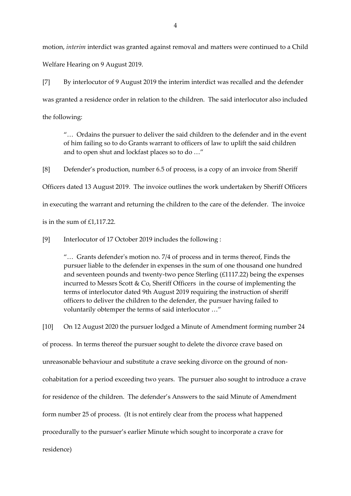motion, *interim* interdict was granted against removal and matters were continued to a Child Welfare Hearing on 9 August 2019.

[7] By interlocutor of 9 August 2019 the interim interdict was recalled and the defender was granted a residence order in relation to the children. The said interlocutor also included the following:

"… Ordains the pursuer to deliver the said children to the defender and in the event of him failing so to do Grants warrant to officers of law to uplift the said children and to open shut and lockfast places so to do …"

[8] Defender's production, number 6.5 of process, is a copy of an invoice from Sheriff Officers dated 13 August 2019. The invoice outlines the work undertaken by Sheriff Officers in executing the warrant and returning the children to the care of the defender. The invoice is in the sum of £1,117.22.

[9] Interlocutor of 17 October 2019 includes the following :

"… Grants defender's motion no. 7/4 of process and in terms thereof, Finds the pursuer liable to the defender in expenses in the sum of one thousand one hundred and seventeen pounds and twenty-two pence Sterling (£1117.22) being the expenses incurred to Messrs Scott & Co, Sheriff Officers in the course of implementing the terms of interlocutor dated 9th August 2019 requiring the instruction of sheriff officers to deliver the children to the defender, the pursuer having failed to voluntarily obtemper the terms of said interlocutor …"

[10] On 12 August 2020 the pursuer lodged a Minute of Amendment forming number 24 of process. In terms thereof the pursuer sought to delete the divorce crave based on unreasonable behaviour and substitute a crave seeking divorce on the ground of noncohabitation for a period exceeding two years. The pursuer also sought to introduce a crave for residence of the children. The defender's Answers to the said Minute of Amendment form number 25 of process. (It is not entirely clear from the process what happened procedurally to the pursuer's earlier Minute which sought to incorporate a crave for residence)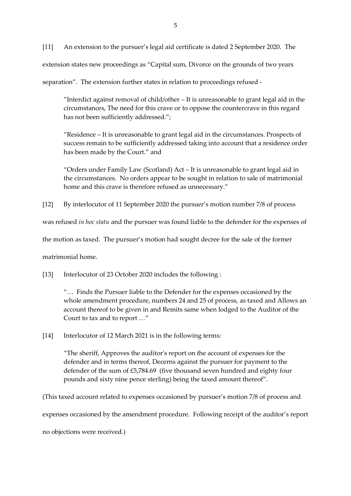[11] An extension to the pursuer's legal aid certificate is dated 2 September 2020. The extension states new proceedings as "Capital sum, Divorce on the grounds of two years

separation". The extension further states in relation to proceedings refused -

"Interdict against removal of child/other – It is unreasonable to grant legal aid in the circumstances, The need for this crave or to oppose the countercrave in this regard has not been sufficiently addressed.";

"Residence – It is unreasonable to grant legal aid in the circumstances. Prospects of success remain to be sufficiently addressed taking into account that a residence order has been made by the Court." and

"Orders under Family Law (Scotland) Act – It is unreasonable to grant legal aid in the circumstances. No orders appear to be sought in relation to sale of matrimonial home and this crave is therefore refused as unnecessary."

[12] By interlocutor of 11 September 2020 the pursuer's motion number 7/8 of process

was refused *in hoc statu* and the pursuer was found liable to the defender for the expenses of

the motion as taxed. The pursuer's motion had sought decree for the sale of the former

matrimonial home.

[13] Interlocutor of 23 October 2020 includes the following :

"… Finds the Pursuer liable to the Defender for the expenses occasioned by the whole amendment procedure, numbers 24 and 25 of process, as taxed and Allows an account thereof to be given in and Remits same when lodged to the Auditor of the Court to tax and to report …"

[14] Interlocutor of 12 March 2021 is in the following terms:

"The sheriff, Approves the auditor's report on the account of expenses for the defender and in terms thereof, Decerns against the pursuer for payment to the defender of the sum of £5,784.69 (five thousand seven hundred and eighty four pounds and sixty nine pence sterling) being the taxed amount thereof".

(This taxed account related to expenses occasioned by pursuer's motion 7/8 of process and

expenses occasioned by the amendment procedure. Following receipt of the auditor's report

no objections were received.)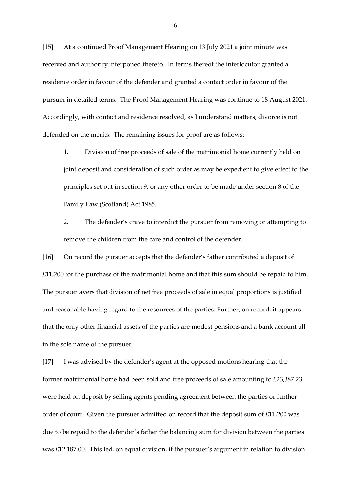[15] At a continued Proof Management Hearing on 13 July 2021 a joint minute was received and authority interponed thereto. In terms thereof the interlocutor granted a residence order in favour of the defender and granted a contact order in favour of the pursuer in detailed terms. The Proof Management Hearing was continue to 18 August 2021. Accordingly, with contact and residence resolved, as I understand matters, divorce is not defended on the merits. The remaining issues for proof are as follows:

1. Division of free proceeds of sale of the matrimonial home currently held on joint deposit and consideration of such order as may be expedient to give effect to the principles set out in section 9, or any other order to be made under section 8 of the Family Law (Scotland) Act 1985.

2. The defender's crave to interdict the pursuer from removing or attempting to remove the children from the care and control of the defender.

[16] On record the pursuer accepts that the defender's father contributed a deposit of £11,200 for the purchase of the matrimonial home and that this sum should be repaid to him. The pursuer avers that division of net free proceeds of sale in equal proportions is justified and reasonable having regard to the resources of the parties. Further, on record, it appears that the only other financial assets of the parties are modest pensions and a bank account all in the sole name of the pursuer.

[17] I was advised by the defender's agent at the opposed motions hearing that the former matrimonial home had been sold and free proceeds of sale amounting to £23,387.23 were held on deposit by selling agents pending agreement between the parties or further order of court. Given the pursuer admitted on record that the deposit sum of £11,200 was due to be repaid to the defender's father the balancing sum for division between the parties was £12,187.00. This led, on equal division, if the pursuer's argument in relation to division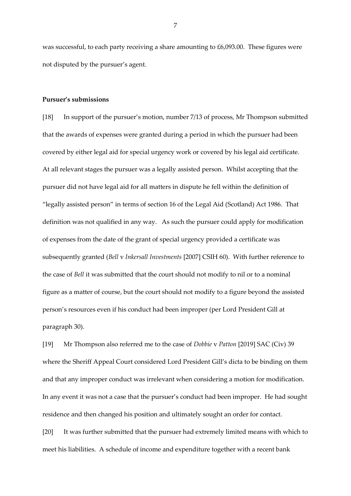was successful, to each party receiving a share amounting to £6,093.00. These figures were not disputed by the pursuer's agent.

### **Pursuer's submissions**

[18] In support of the pursuer's motion, number 7/13 of process, Mr Thompson submitted that the awards of expenses were granted during a period in which the pursuer had been covered by either legal aid for special urgency work or covered by his legal aid certificate. At all relevant stages the pursuer was a legally assisted person. Whilst accepting that the pursuer did not have legal aid for all matters in dispute he fell within the definition of "legally assisted person" in terms of section 16 of the Legal Aid (Scotland) Act 1986. That definition was not qualified in any way. As such the pursuer could apply for modification of expenses from the date of the grant of special urgency provided a certificate was subsequently granted (*Bell* v *Inkersall Investments* [2007] CSIH 60). With further reference to the case of *Bell* it was submitted that the court should not modify to nil or to a nominal figure as a matter of course, but the court should not modify to a figure beyond the assisted person's resources even if his conduct had been improper (per Lord President Gill at paragraph 30).

[19] Mr Thompson also referred me to the case of *Dobbie* v *Patton* [2019] SAC (Civ) 39 where the Sheriff Appeal Court considered Lord President Gill's dicta to be binding on them and that any improper conduct was irrelevant when considering a motion for modification. In any event it was not a case that the pursuer's conduct had been improper. He had sought residence and then changed his position and ultimately sought an order for contact.

[20] It was further submitted that the pursuer had extremely limited means with which to meet his liabilities. A schedule of income and expenditure together with a recent bank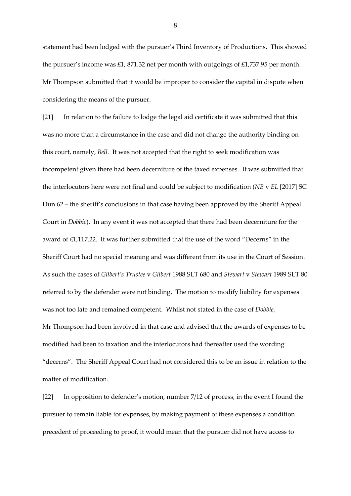statement had been lodged with the pursuer's Third Inventory of Productions. This showed the pursuer's income was £1, 871.32 net per month with outgoings of £1,737.95 per month. Mr Thompson submitted that it would be improper to consider the capital in dispute when considering the means of the pursuer.

[21] In relation to the failure to lodge the legal aid certificate it was submitted that this was no more than a circumstance in the case and did not change the authority binding on this court, namely, *Bell.* It was not accepted that the right to seek modification was incompetent given there had been decerniture of the taxed expenses. It was submitted that the interlocutors here were not final and could be subject to modification (*NB* v *EL* [2017] SC Dun 62 – the sheriff's conclusions in that case having been approved by the Sheriff Appeal Court in *Dobbie*). In any event it was not accepted that there had been decerniture for the award of £1,117.22. It was further submitted that the use of the word "Decerns" in the Sheriff Court had no special meaning and was different from its use in the Court of Session. As such the cases of *Gilbert's Trustee* v *Gilbert* 1988 SLT 680 and *Stewart* v *Stewart* 1989 SLT 80 referred to by the defender were not binding. The motion to modify liability for expenses was not too late and remained competent. Whilst not stated in the case of *Dobbie,*  Mr Thompson had been involved in that case and advised that the awards of expenses to be modified had been to taxation and the interlocutors had thereafter used the wording "decerns". The Sheriff Appeal Court had not considered this to be an issue in relation to the matter of modification.

[22] In opposition to defender's motion, number 7/12 of process, in the event I found the pursuer to remain liable for expenses, by making payment of these expenses a condition precedent of proceeding to proof, it would mean that the pursuer did not have access to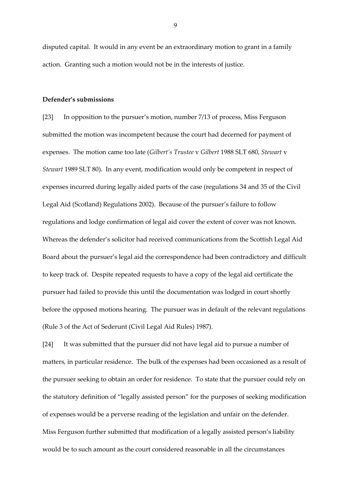disputed capital. It would in any event be an extraordinary motion to grant in a family action. Granting such a motion would not be in the interests of justice.

#### **Defender's submissions**

[23] In opposition to the pursuer's motion, number 7/13 of process, Miss Ferguson submitted the motion was incompetent because the court had decerned for payment of expenses. The motion came too late (*Gilbert's Trustee* v *Gilbert* 1988 SLT 680, *Stewart* v *Stewart* 1989 SLT 80). In any event, modification would only be competent in respect of expenses incurred during legally aided parts of the case (regulations 34 and 35 of the Civil Legal Aid (Scotland) Regulations 2002). Because of the pursuer's failure to follow regulations and lodge confirmation of legal aid cover the extent of cover was not known. Whereas the defender's solicitor had received communications from the Scottish Legal Aid Board about the pursuer's legal aid the correspondence had been contradictory and difficult to keep track of. Despite repeated requests to have a copy of the legal aid certificate the pursuer had failed to provide this until the documentation was lodged in court shortly before the opposed motions hearing. The pursuer was in default of the relevant regulations (Rule 3 of the Act of Sederunt (Civil Legal Aid Rules) 1987).

[24] It was submitted that the pursuer did not have legal aid to pursue a number of matters, in particular residence. The bulk of the expenses had been occasioned as a result of the pursuer seeking to obtain an order for residence. To state that the pursuer could rely on the statutory definition of "legally assisted person" for the purposes of seeking modification of expenses would be a perverse reading of the legislation and unfair on the defender. Miss Ferguson further submitted that modification of a legally assisted person's liability would be to such amount as the court considered reasonable in all the circumstances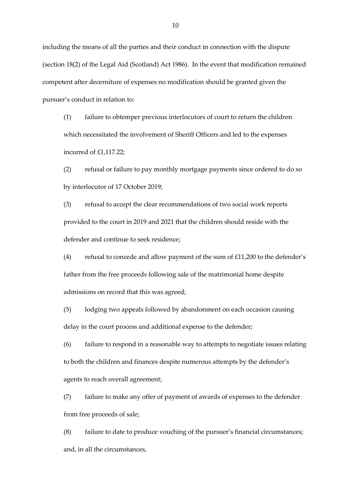including the means of all the parties and their conduct in connection with the dispute (section 18(2) of the Legal Aid (Scotland) Act 1986). In the event that modification remained competent after decerniture of expenses no modification should be granted given the pursuer's conduct in relation to:

(1) failure to obtemper previous interlocutors of court to return the children which necessitated the involvement of Sheriff Officers and led to the expenses incurred of £1,117.22;

(2) refusal or failure to pay monthly mortgage payments since ordered to do so by interlocutor of 17 October 2019;

(3) refusal to accept the clear recommendations of two social work reports provided to the court in 2019 and 2021 that the children should reside with the defender and continue to seek residence;

(4) refusal to concede and allow payment of the sum of £11,200 to the defender's father from the free proceeds following sale of the matrimonial home despite admissions on record that this was agreed;

(5) lodging two appeals followed by abandonment on each occasion causing delay in the court process and additional expense to the defender;

(6) failure to respond in a reasonable way to attempts to negotiate issues relating to both the children and finances despite numerous attempts by the defender's agents to reach overall agreement;

(7) failure to make any offer of payment of awards of expenses to the defender from free proceeds of sale;

(8) failure to date to produce vouching of the pursuer's financial circumstances; and, in all the circumstances,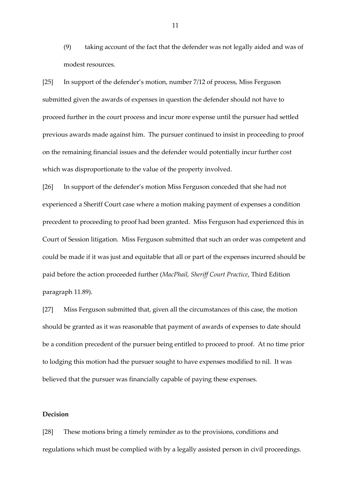(9) taking account of the fact that the defender was not legally aided and was of modest resources.

[25] In support of the defender's motion, number 7/12 of process, Miss Ferguson submitted given the awards of expenses in question the defender should not have to proceed further in the court process and incur more expense until the pursuer had settled previous awards made against him. The pursuer continued to insist in proceeding to proof on the remaining financial issues and the defender would potentially incur further cost which was disproportionate to the value of the property involved.

[26] In support of the defender's motion Miss Ferguson conceded that she had not experienced a Sheriff Court case where a motion making payment of expenses a condition precedent to proceeding to proof had been granted. Miss Ferguson had experienced this in Court of Session litigation. Miss Ferguson submitted that such an order was competent and could be made if it was just and equitable that all or part of the expenses incurred should be paid before the action proceeded further (*MacPhail, Sheriff Court Practice*, Third Edition paragraph 11.89).

[27] Miss Ferguson submitted that, given all the circumstances of this case, the motion should be granted as it was reasonable that payment of awards of expenses to date should be a condition precedent of the pursuer being entitled to proceed to proof. At no time prior to lodging this motion had the pursuer sought to have expenses modified to nil. It was believed that the pursuer was financially capable of paying these expenses.

### **Decision**

[28] These motions bring a timely reminder as to the provisions, conditions and regulations which must be complied with by a legally assisted person in civil proceedings.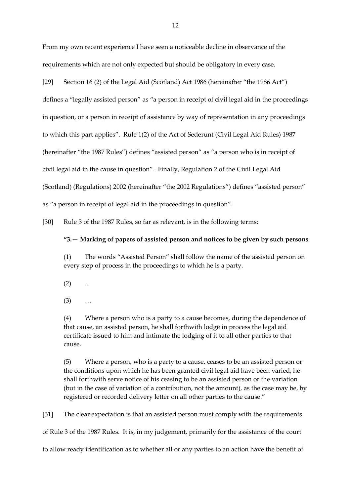From my own recent experience I have seen a noticeable decline in observance of the requirements which are not only expected but should be obligatory in every case.

defines a "legally assisted person" as "a person in receipt of civil legal aid in the proceedings

in question, or a person in receipt of assistance by way of representation in any proceedings

to which this part applies". Rule 1(2) of the Act of Sederunt (Civil Legal Aid Rules) 1987

(hereinafter "the 1987 Rules") defines "assisted person" as "a person who is in receipt of

civil legal aid in the cause in question". Finally, Regulation 2 of the Civil Legal Aid

(Scotland) (Regulations) 2002 (hereinafter "the 2002 Regulations") defines "assisted person"

as "a person in receipt of legal aid in the proceedings in question".

[30] Rule 3 of the 1987 Rules, so far as relevant, is in the following terms:

# **"3.— Marking of papers of assisted person and notices to be given by such persons**

(1) The words "Assisted Person" shall follow the name of the assisted person on every step of process in the proceedings to which he is a party.

- $(2)$  ...
- $(3)$  ...

(4) Where a person who is a party to a cause becomes, during the dependence of that cause, an assisted person, he shall forthwith lodge in process the legal aid certificate issued to him and intimate the lodging of it to all other parties to that cause.

(5) Where a person, who is a party to a cause, ceases to be an assisted person or the conditions upon which he has been granted civil legal aid have been varied, he shall forthwith serve notice of his ceasing to be an assisted person or the variation (but in the case of variation of a contribution, not the amount), as the case may be, by registered or recorded delivery letter on all other parties to the cause."

[31] The clear expectation is that an assisted person must comply with the requirements of Rule 3 of the 1987 Rules. It is, in my judgement, primarily for the assistance of the court to allow ready identification as to whether all or any parties to an action have the benefit of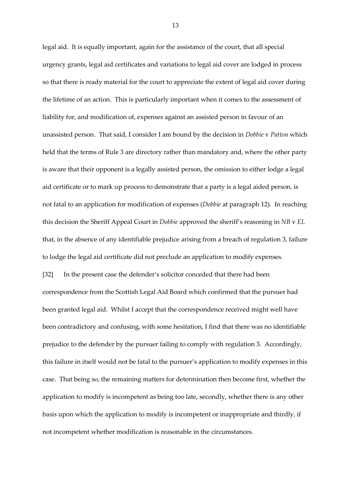legal aid. It is equally important, again for the assistance of the court, that all special urgency grants, legal aid certificates and variations to legal aid cover are lodged in process so that there is ready material for the court to appreciate the extent of legal aid cover during the lifetime of an action. This is particularly important when it comes to the assessment of liability for, and modification of, expenses against an assisted person in favour of an unassisted person. That said, I consider I am bound by the decision in *Dobbie* v *Patton* which held that the terms of Rule 3 are directory rather than mandatory and, where the other party is aware that their opponent is a legally assisted person, the omission to either lodge a legal aid certificate or to mark up process to demonstrate that a party is a legal aided person, is not fatal to an application for modification of expenses (*Dobbie* at paragraph 12). In reaching this decision the Sheriff Appeal Court in *Dobbie* approved the sheriff's reasoning in *NB* v *EL* that, in the absence of any identifiable prejudice arising from a breach of regulation 3, failure to lodge the legal aid certificate did not preclude an application to modify expenses. [32] In the present case the defender's solicitor conceded that there had been correspondence from the Scottish Legal Aid Board which confirmed that the pursuer had been granted legal aid. Whilst I accept that the correspondence received might well have been contradictory and confusing, with some hesitation, I find that there was no identifiable prejudice to the defender by the pursuer failing to comply with regulation 3. Accordingly, this failure in itself would not be fatal to the pursuer's application to modify expenses in this case. That being so, the remaining matters for determination then become first, whether the application to modify is incompetent as being too late, secondly, whether there is any other basis upon which the application to modify is incompetent or inappropriate and thirdly, if not incompetent whether modification is reasonable in the circumstances.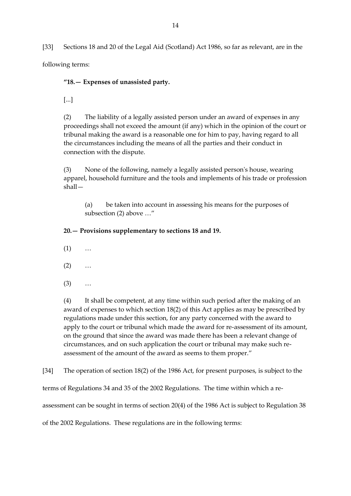[33] Sections 18 and 20 of the Legal Aid (Scotland) Act 1986, so far as relevant, are in the

following terms:

**"18.— Expenses of unassisted party.**

[...]

(2) The liability of a legally assisted person under an award of expenses in any proceedings shall not exceed the amount (if any) which in the opinion of the court or tribunal making the award is a reasonable one for him to pay, having regard to all the circumstances including the means of all the parties and their conduct in connection with the dispute.

(3) None of the following, namely a legally assisted person's house, wearing apparel, household furniture and the tools and implements of his trade or profession shall—

(a) be taken into account in assessing his means for the purposes of subsection (2) above …"

**20.— Provisions supplementary to sections 18 and 19.**

- $(1)$  ...
- $(2)$  ...
- (3) …

(4) It shall be competent, at any time within such period after the making of an award of expenses to which section 18(2) of this Act applies as may be prescribed by regulations made under this section, for any party concerned with the award to apply to the court or tribunal which made the award for re-assessment of its amount, on the ground that since the award was made there has been a relevant change of circumstances, and on such application the court or tribunal may make such reassessment of the amount of the award as seems to them proper."

[34] The operation of section 18(2) of the 1986 Act, for present purposes, is subject to the

terms of Regulations 34 and 35 of the 2002 Regulations. The time within which a re-

assessment can be sought in terms of section 20(4) of the 1986 Act is subject to Regulation 38

of the 2002 Regulations. These regulations are in the following terms: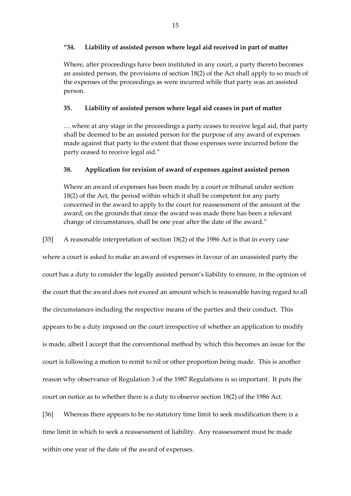# **"34. Liability of assisted person where legal aid received in part of matter**

Where, after proceedings have been instituted in any court, a party thereto becomes an assisted person, the provisions of section 18(2) of the Act shall apply to so much of the expenses of the proceedings as were incurred while that party was an assisted person.

# **35. Liability of assisted person where legal aid ceases in part of matter**

… where at any stage in the proceedings a party ceases to receive legal aid, that party shall be deemed to be an assisted person for the purpose of any award of expenses made against that party to the extent that those expenses were incurred before the party ceased to receive legal aid."

# **38. Application for revision of award of expenses against assisted person**

Where an award of expenses has been made by a court or tribunal under section 18(2) of the Act, the period within which it shall be competent for any party concerned in the award to apply to the court for reassessment of the amount of the award, on the grounds that since the award was made there has been a relevant change of circumstances, shall be one year after the date of the award."

# [35] A reasonable interpretation of section 18(2) of the 1986 Act is that in every case

where a court is asked to make an award of expenses in favour of an unassisted party the court has a duty to consider the legally assisted person's liability to ensure, in the opinion of the court that the award does not exceed an amount which is reasonable having regard to all the circumstances including the respective means of the parties and their conduct. This appears to be a duty imposed on the court irrespective of whether an application to modify is made, albeit I accept that the conventional method by which this becomes an issue for the court is following a motion to remit to nil or other proportion being made. This is another reason why observance of Regulation 3 of the 1987 Regulations is so important. It puts the court on notice as to whether there is a duty to observe section 18(2) of the 1986 Act.

[36] Whereas there appears to be no statutory time limit to seek modification there is a time limit in which to seek a reassessment of liability. Any reassessment must be made within one year of the date of the award of expenses.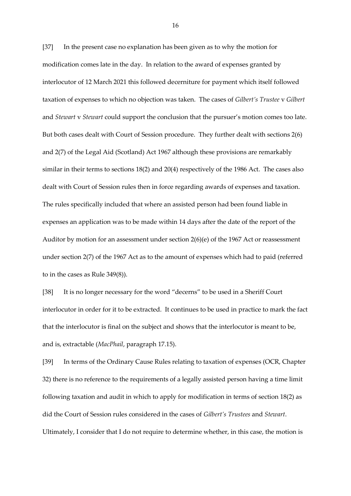[37] In the present case no explanation has been given as to why the motion for modification comes late in the day. In relation to the award of expenses granted by interlocutor of 12 March 2021 this followed decerniture for payment which itself followed taxation of expenses to which no objection was taken. The cases of *Gilbert's Trustee* v *Gilbert* and *Stewart* v *Stewart* could support the conclusion that the pursuer's motion comes too late. But both cases dealt with Court of Session procedure. They further dealt with sections 2(6) and 2(7) of the Legal Aid (Scotland) Act 1967 although these provisions are remarkably similar in their terms to sections 18(2) and 20(4) respectively of the 1986 Act. The cases also dealt with Court of Session rules then in force regarding awards of expenses and taxation. The rules specifically included that where an assisted person had been found liable in expenses an application was to be made within 14 days after the date of the report of the Auditor by motion for an assessment under section 2(6)(e) of the 1967 Act or reassessment under section 2(7) of the 1967 Act as to the amount of expenses which had to paid (referred to in the cases as Rule 349(8)).

[38] It is no longer necessary for the word "decerns" to be used in a Sheriff Court interlocutor in order for it to be extracted. It continues to be used in practice to mark the fact that the interlocutor is final on the subject and shows that the interlocutor is meant to be, and is, extractable (*MacPhail*, paragraph 17.15).

[39] In terms of the Ordinary Cause Rules relating to taxation of expenses (OCR, Chapter 32) there is no reference to the requirements of a legally assisted person having a time limit following taxation and audit in which to apply for modification in terms of section 18(2) as did the Court of Session rules considered in the cases of *Gilbert's Trustees* and *Stewart*. Ultimately, I consider that I do not require to determine whether, in this case, the motion is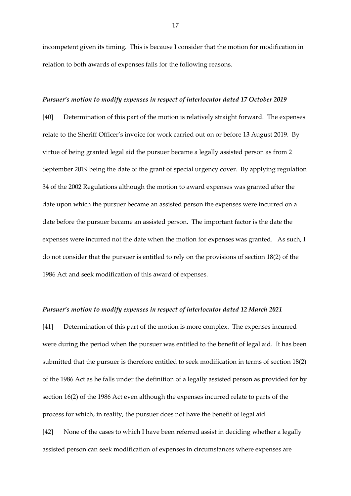incompetent given its timing. This is because I consider that the motion for modification in relation to both awards of expenses fails for the following reasons.

### *Pursuer's motion to modify expenses in respect of interlocutor dated 17 October 2019*

[40] Determination of this part of the motion is relatively straight forward. The expenses relate to the Sheriff Officer's invoice for work carried out on or before 13 August 2019. By virtue of being granted legal aid the pursuer became a legally assisted person as from 2 September 2019 being the date of the grant of special urgency cover. By applying regulation 34 of the 2002 Regulations although the motion to award expenses was granted after the date upon which the pursuer became an assisted person the expenses were incurred on a date before the pursuer became an assisted person. The important factor is the date the expenses were incurred not the date when the motion for expenses was granted. As such, I do not consider that the pursuer is entitled to rely on the provisions of section 18(2) of the 1986 Act and seek modification of this award of expenses.

#### *Pursuer's motion to modify expenses in respect of interlocutor dated 12 March 2021*

[41] Determination of this part of the motion is more complex. The expenses incurred were during the period when the pursuer was entitled to the benefit of legal aid. It has been submitted that the pursuer is therefore entitled to seek modification in terms of section 18(2) of the 1986 Act as he falls under the definition of a legally assisted person as provided for by section 16(2) of the 1986 Act even although the expenses incurred relate to parts of the process for which, in reality, the pursuer does not have the benefit of legal aid.

[42] None of the cases to which I have been referred assist in deciding whether a legally assisted person can seek modification of expenses in circumstances where expenses are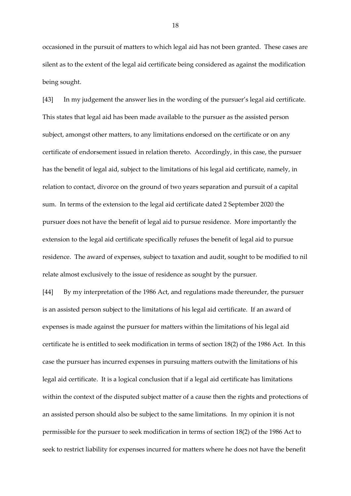occasioned in the pursuit of matters to which legal aid has not been granted. These cases are silent as to the extent of the legal aid certificate being considered as against the modification being sought.

[43] In my judgement the answer lies in the wording of the pursuer's legal aid certificate. This states that legal aid has been made available to the pursuer as the assisted person subject, amongst other matters, to any limitations endorsed on the certificate or on any certificate of endorsement issued in relation thereto. Accordingly, in this case, the pursuer has the benefit of legal aid, subject to the limitations of his legal aid certificate, namely, in relation to contact, divorce on the ground of two years separation and pursuit of a capital sum. In terms of the extension to the legal aid certificate dated 2 September 2020 the pursuer does not have the benefit of legal aid to pursue residence. More importantly the extension to the legal aid certificate specifically refuses the benefit of legal aid to pursue residence. The award of expenses, subject to taxation and audit, sought to be modified to nil relate almost exclusively to the issue of residence as sought by the pursuer.

[44] By my interpretation of the 1986 Act, and regulations made thereunder, the pursuer is an assisted person subject to the limitations of his legal aid certificate. If an award of expenses is made against the pursuer for matters within the limitations of his legal aid certificate he is entitled to seek modification in terms of section 18(2) of the 1986 Act. In this case the pursuer has incurred expenses in pursuing matters outwith the limitations of his legal aid certificate. It is a logical conclusion that if a legal aid certificate has limitations within the context of the disputed subject matter of a cause then the rights and protections of an assisted person should also be subject to the same limitations. In my opinion it is not permissible for the pursuer to seek modification in terms of section 18(2) of the 1986 Act to seek to restrict liability for expenses incurred for matters where he does not have the benefit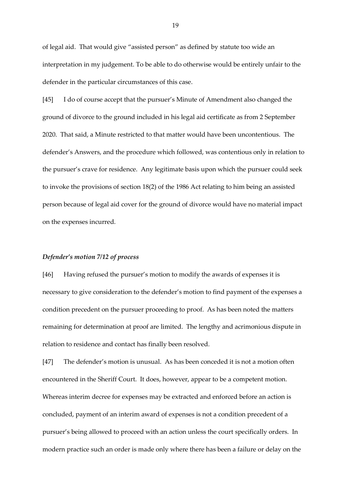of legal aid. That would give "assisted person" as defined by statute too wide an interpretation in my judgement. To be able to do otherwise would be entirely unfair to the defender in the particular circumstances of this case.

[45] I do of course accept that the pursuer's Minute of Amendment also changed the ground of divorce to the ground included in his legal aid certificate as from 2 September 2020. That said, a Minute restricted to that matter would have been uncontentious. The defender's Answers, and the procedure which followed, was contentious only in relation to the pursuer's crave for residence. Any legitimate basis upon which the pursuer could seek to invoke the provisions of section 18(2) of the 1986 Act relating to him being an assisted person because of legal aid cover for the ground of divorce would have no material impact on the expenses incurred.

### *Defender's motion 7/12 of process*

[46] Having refused the pursuer's motion to modify the awards of expenses it is necessary to give consideration to the defender's motion to find payment of the expenses a condition precedent on the pursuer proceeding to proof. As has been noted the matters remaining for determination at proof are limited. The lengthy and acrimonious dispute in relation to residence and contact has finally been resolved.

[47] The defender's motion is unusual. As has been conceded it is not a motion often encountered in the Sheriff Court. It does, however, appear to be a competent motion. Whereas interim decree for expenses may be extracted and enforced before an action is concluded, payment of an interim award of expenses is not a condition precedent of a pursuer's being allowed to proceed with an action unless the court specifically orders. In modern practice such an order is made only where there has been a failure or delay on the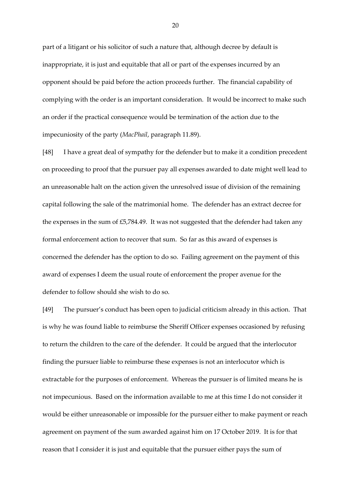part of a litigant or his solicitor of such a nature that, although decree by default is inappropriate, it is just and equitable that all or part of the expenses incurred by an opponent should be paid before the action proceeds further. The financial capability of complying with the order is an important consideration. It would be incorrect to make such an order if the practical consequence would be termination of the action due to the impecuniosity of the party (*MacPhail*, paragraph 11.89).

[48] I have a great deal of sympathy for the defender but to make it a condition precedent on proceeding to proof that the pursuer pay all expenses awarded to date might well lead to an unreasonable halt on the action given the unresolved issue of division of the remaining capital following the sale of the matrimonial home. The defender has an extract decree for the expenses in the sum of £5,784.49. It was not suggested that the defender had taken any formal enforcement action to recover that sum. So far as this award of expenses is concerned the defender has the option to do so. Failing agreement on the payment of this award of expenses I deem the usual route of enforcement the proper avenue for the defender to follow should she wish to do so.

[49] The pursuer's conduct has been open to judicial criticism already in this action. That is why he was found liable to reimburse the Sheriff Officer expenses occasioned by refusing to return the children to the care of the defender. It could be argued that the interlocutor finding the pursuer liable to reimburse these expenses is not an interlocutor which is extractable for the purposes of enforcement. Whereas the pursuer is of limited means he is not impecunious. Based on the information available to me at this time I do not consider it would be either unreasonable or impossible for the pursuer either to make payment or reach agreement on payment of the sum awarded against him on 17 October 2019. It is for that reason that I consider it is just and equitable that the pursuer either pays the sum of